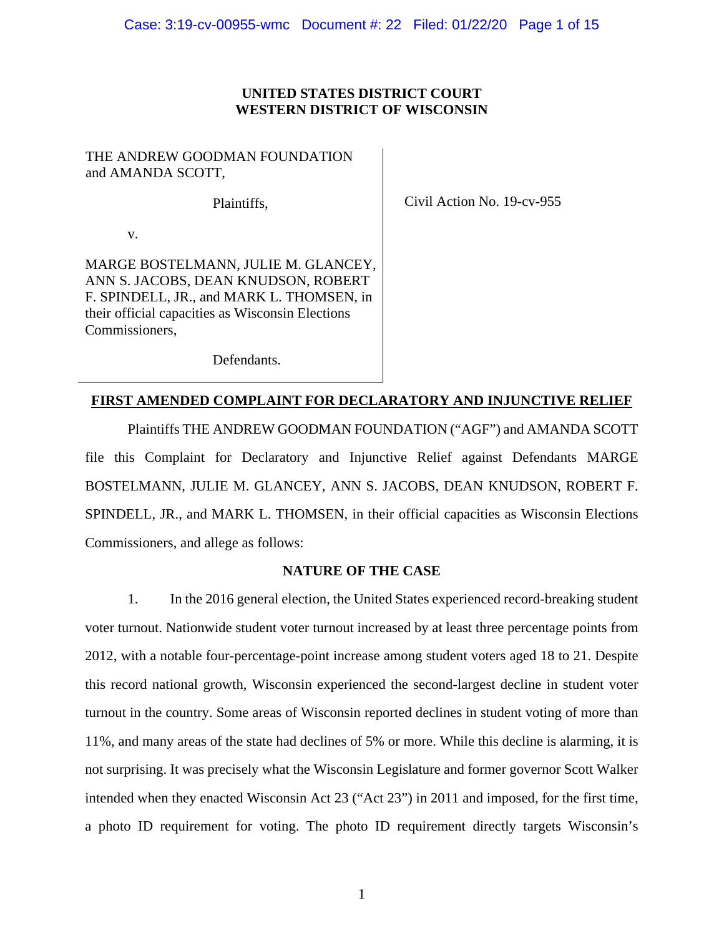# **UNITED STATES DISTRICT COURT WESTERN DISTRICT OF WISCONSIN**

# THE ANDREW GOODMAN FOUNDATION and AMANDA SCOTT,

Plaintiffs,

Civil Action No. 19-cv-955

v.

MARGE BOSTELMANN, JULIE M. GLANCEY, ANN S. JACOBS, DEAN KNUDSON, ROBERT F. SPINDELL, JR., and MARK L. THOMSEN, in their official capacities as Wisconsin Elections Commissioners,

Defendants.

# **FIRST AMENDED COMPLAINT FOR DECLARATORY AND INJUNCTIVE RELIEF**

Plaintiffs THE ANDREW GOODMAN FOUNDATION ("AGF") and AMANDA SCOTT file this Complaint for Declaratory and Injunctive Relief against Defendants MARGE BOSTELMANN, JULIE M. GLANCEY, ANN S. JACOBS, DEAN KNUDSON, ROBERT F. SPINDELL, JR., and MARK L. THOMSEN, in their official capacities as Wisconsin Elections Commissioners, and allege as follows:

# **NATURE OF THE CASE**

1. In the 2016 general election, the United States experienced record-breaking student voter turnout. Nationwide student voter turnout increased by at least three percentage points from 2012, with a notable four-percentage-point increase among student voters aged 18 to 21. Despite this record national growth, Wisconsin experienced the second-largest decline in student voter turnout in the country. Some areas of Wisconsin reported declines in student voting of more than 11%, and many areas of the state had declines of 5% or more. While this decline is alarming, it is not surprising. It was precisely what the Wisconsin Legislature and former governor Scott Walker intended when they enacted Wisconsin Act 23 ("Act 23") in 2011 and imposed, for the first time, a photo ID requirement for voting. The photo ID requirement directly targets Wisconsin's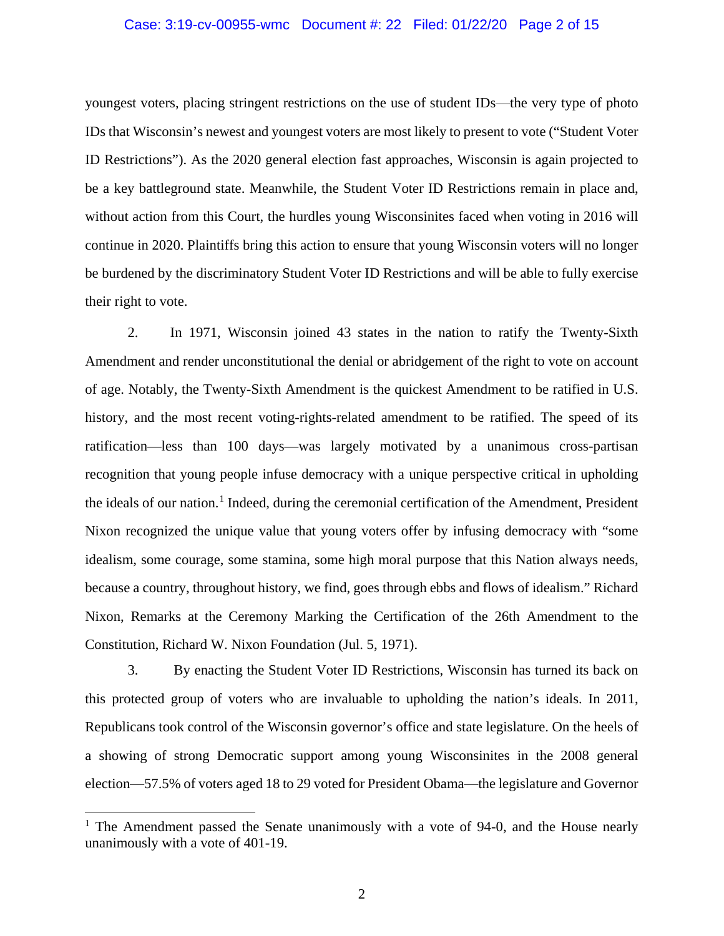# Case: 3:19-cv-00955-wmc Document #: 22 Filed: 01/22/20 Page 2 of 15

youngest voters, placing stringent restrictions on the use of student IDs—the very type of photo IDs that Wisconsin's newest and youngest voters are most likely to present to vote ("Student Voter ID Restrictions"). As the 2020 general election fast approaches, Wisconsin is again projected to be a key battleground state. Meanwhile, the Student Voter ID Restrictions remain in place and, without action from this Court, the hurdles young Wisconsinites faced when voting in 2016 will continue in 2020. Plaintiffs bring this action to ensure that young Wisconsin voters will no longer be burdened by the discriminatory Student Voter ID Restrictions and will be able to fully exercise their right to vote.

2. In 1971, Wisconsin joined 43 states in the nation to ratify the Twenty-Sixth Amendment and render unconstitutional the denial or abridgement of the right to vote on account of age. Notably, the Twenty-Sixth Amendment is the quickest Amendment to be ratified in U.S. history, and the most recent voting-rights-related amendment to be ratified. The speed of its ratification—less than 100 days—was largely motivated by a unanimous cross-partisan recognition that young people infuse democracy with a unique perspective critical in upholding the ideals of our nation.<sup>[1](#page-1-0)</sup> Indeed, during the ceremonial certification of the Amendment, President Nixon recognized the unique value that young voters offer by infusing democracy with "some idealism, some courage, some stamina, some high moral purpose that this Nation always needs, because a country, throughout history, we find, goes through ebbs and flows of idealism." Richard Nixon, Remarks at the Ceremony Marking the Certification of the 26th Amendment to the Constitution, Richard W. Nixon Foundation (Jul. 5, 1971).

3. By enacting the Student Voter ID Restrictions, Wisconsin has turned its back on this protected group of voters who are invaluable to upholding the nation's ideals. In 2011, Republicans took control of the Wisconsin governor's office and state legislature. On the heels of a showing of strong Democratic support among young Wisconsinites in the 2008 general election⸺57.5% of voters aged 18 to 29 voted for President Obama⸺the legislature and Governor

 $\overline{\phantom{a}}$ 

<span id="page-1-0"></span> $1$  The Amendment passed the Senate unanimously with a vote of 94-0, and the House nearly unanimously with a vote of 401-19.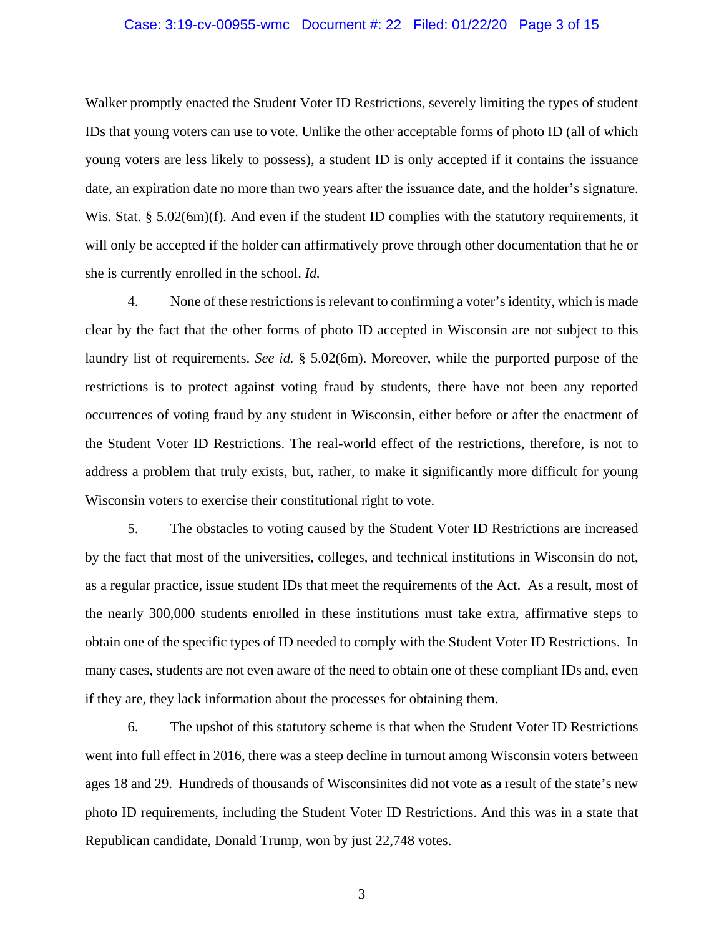## Case: 3:19-cv-00955-wmc Document #: 22 Filed: 01/22/20 Page 3 of 15

Walker promptly enacted the Student Voter ID Restrictions, severely limiting the types of student IDs that young voters can use to vote. Unlike the other acceptable forms of photo ID (all of which young voters are less likely to possess), a student ID is only accepted if it contains the issuance date, an expiration date no more than two years after the issuance date, and the holder's signature. Wis. Stat. § 5.02(6m)(f). And even if the student ID complies with the statutory requirements, it will only be accepted if the holder can affirmatively prove through other documentation that he or she is currently enrolled in the school. *Id.*

4. None of these restrictions is relevant to confirming a voter's identity, which is made clear by the fact that the other forms of photo ID accepted in Wisconsin are not subject to this laundry list of requirements. *See id.* § 5.02(6m). Moreover, while the purported purpose of the restrictions is to protect against voting fraud by students, there have not been any reported occurrences of voting fraud by any student in Wisconsin, either before or after the enactment of the Student Voter ID Restrictions. The real-world effect of the restrictions, therefore, is not to address a problem that truly exists, but, rather, to make it significantly more difficult for young Wisconsin voters to exercise their constitutional right to vote.

5. The obstacles to voting caused by the Student Voter ID Restrictions are increased by the fact that most of the universities, colleges, and technical institutions in Wisconsin do not, as a regular practice, issue student IDs that meet the requirements of the Act. As a result, most of the nearly 300,000 students enrolled in these institutions must take extra, affirmative steps to obtain one of the specific types of ID needed to comply with the Student Voter ID Restrictions. In many cases, students are not even aware of the need to obtain one of these compliant IDs and, even if they are, they lack information about the processes for obtaining them.

6. The upshot of this statutory scheme is that when the Student Voter ID Restrictions went into full effect in 2016, there was a steep decline in turnout among Wisconsin voters between ages 18 and 29. Hundreds of thousands of Wisconsinites did not vote as a result of the state's new photo ID requirements, including the Student Voter ID Restrictions. And this was in a state that Republican candidate, Donald Trump, won by just 22,748 votes.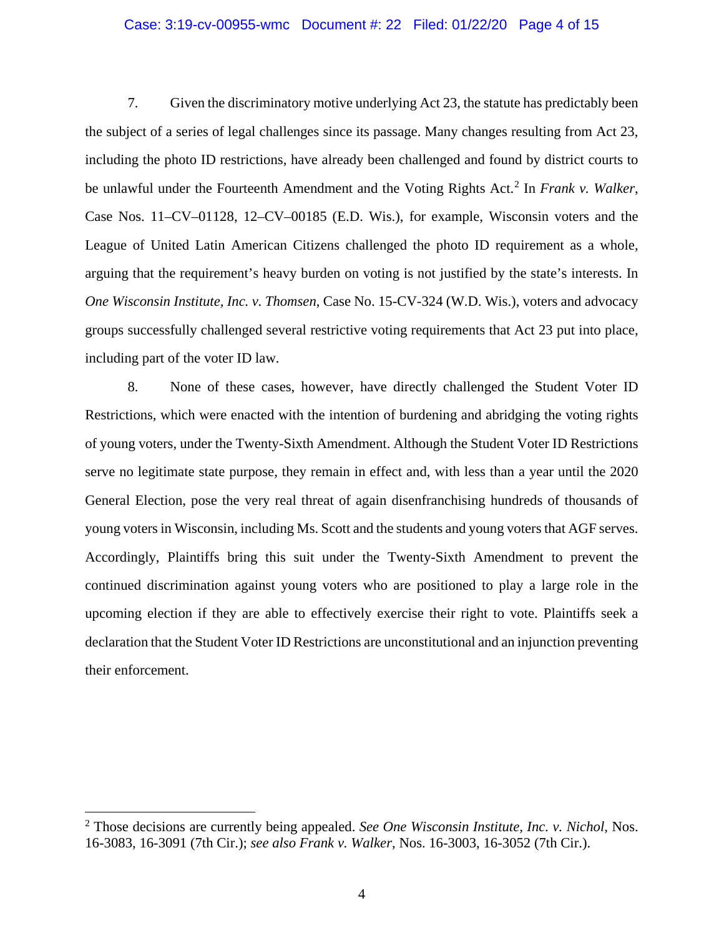## Case: 3:19-cv-00955-wmc Document #: 22 Filed: 01/22/20 Page 4 of 15

7. Given the discriminatory motive underlying Act 23, the statute has predictably been the subject of a series of legal challenges since its passage. Many changes resulting from Act 23, including the photo ID restrictions, have already been challenged and found by district courts to be unlawful under the Fourteenth Amendment and the Voting Rights Act. [2](#page-3-0) In *Frank v. Walker*, Case Nos. 11–CV–01128, 12–CV–00185 (E.D. Wis.), for example, Wisconsin voters and the League of United Latin American Citizens challenged the photo ID requirement as a whole, arguing that the requirement's heavy burden on voting is not justified by the state's interests. In *One Wisconsin Institute, Inc. v. Thomsen*, Case No. 15-CV-324 (W.D. Wis.), voters and advocacy groups successfully challenged several restrictive voting requirements that Act 23 put into place, including part of the voter ID law.

8. None of these cases, however, have directly challenged the Student Voter ID Restrictions, which were enacted with the intention of burdening and abridging the voting rights of young voters, under the Twenty-Sixth Amendment. Although the Student Voter ID Restrictions serve no legitimate state purpose, they remain in effect and, with less than a year until the 2020 General Election, pose the very real threat of again disenfranchising hundreds of thousands of young voters in Wisconsin, including Ms. Scott and the students and young voters that AGF serves. Accordingly, Plaintiffs bring this suit under the Twenty-Sixth Amendment to prevent the continued discrimination against young voters who are positioned to play a large role in the upcoming election if they are able to effectively exercise their right to vote. Plaintiffs seek a declaration that the Student Voter ID Restrictions are unconstitutional and an injunction preventing their enforcement.

 $\overline{\phantom{a}}$ 

<span id="page-3-0"></span><sup>2</sup> Those decisions are currently being appealed. *See One Wisconsin Institute, Inc. v. Nichol*, Nos. 16-3083, 16-3091 (7th Cir.); *see also Frank v. Walker*, Nos. 16-3003, 16-3052 (7th Cir.).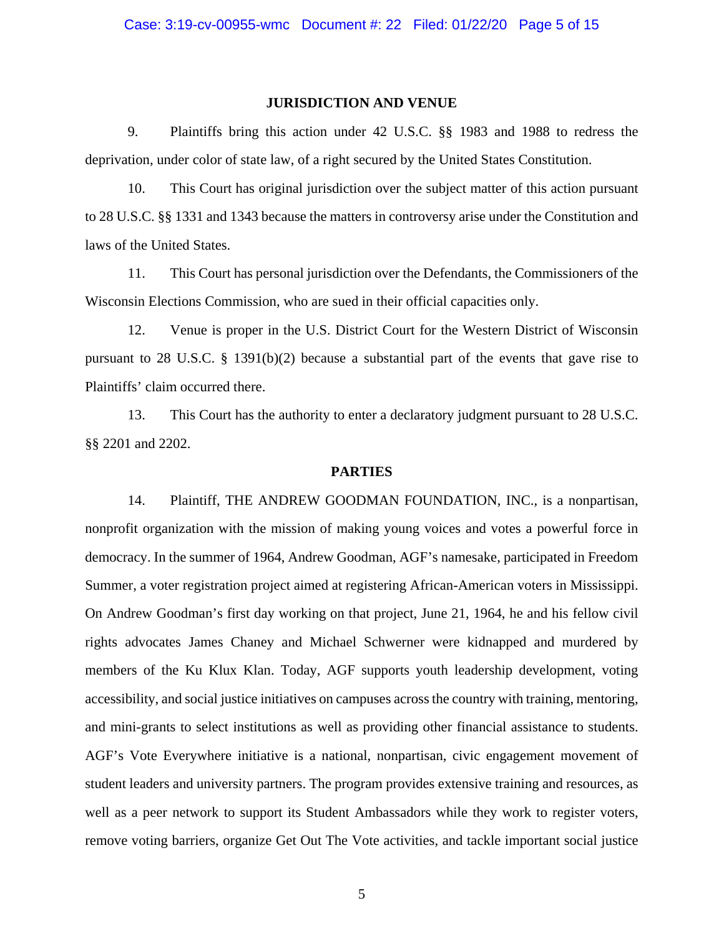#### **JURISDICTION AND VENUE**

9. Plaintiffs bring this action under 42 U.S.C. §§ 1983 and 1988 to redress the deprivation, under color of state law, of a right secured by the United States Constitution.

10. This Court has original jurisdiction over the subject matter of this action pursuant to 28 U.S.C. §§ 1331 and 1343 because the matters in controversy arise under the Constitution and laws of the United States.

11. This Court has personal jurisdiction over the Defendants, the Commissioners of the Wisconsin Elections Commission, who are sued in their official capacities only.

12. Venue is proper in the U.S. District Court for the Western District of Wisconsin pursuant to 28 U.S.C.  $\S$  1391(b)(2) because a substantial part of the events that gave rise to Plaintiffs' claim occurred there.

13. This Court has the authority to enter a declaratory judgment pursuant to 28 U.S.C. §§ 2201 and 2202.

#### **PARTIES**

14. Plaintiff, THE ANDREW GOODMAN FOUNDATION, INC., is a nonpartisan, nonprofit organization with the mission of making young voices and votes a powerful force in democracy. In the summer of 1964, Andrew Goodman, AGF's namesake, participated in Freedom Summer, a voter registration project aimed at registering African-American voters in Mississippi. On Andrew Goodman's first day working on that project, June 21, 1964, he and his fellow civil rights advocates James Chaney and Michael Schwerner were kidnapped and murdered by members of the Ku Klux Klan. Today, AGF supports youth leadership development, voting accessibility, and social justice initiatives on campuses across the country with training, mentoring, and mini-grants to select institutions as well as providing other financial assistance to students. AGF's Vote Everywhere initiative is a national, nonpartisan, civic engagement movement of student leaders and university partners. The program provides extensive training and resources, as well as a peer network to support its Student Ambassadors while they work to register voters, remove voting barriers, organize Get Out The Vote activities, and tackle important social justice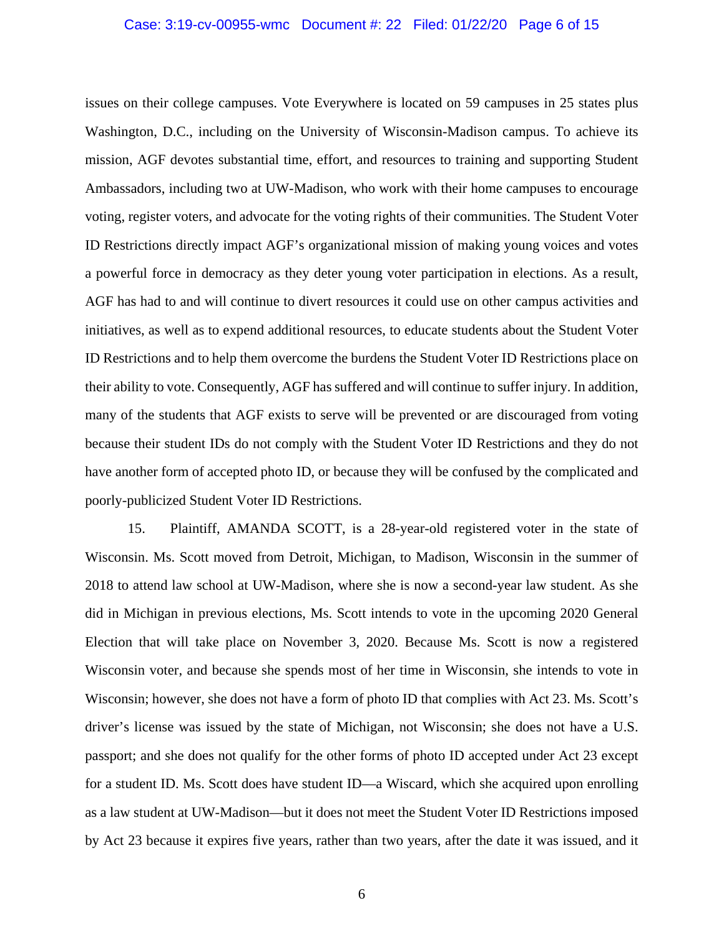# Case: 3:19-cv-00955-wmc Document #: 22 Filed: 01/22/20 Page 6 of 15

issues on their college campuses. Vote Everywhere is located on 59 campuses in 25 states plus Washington, D.C., including on the University of Wisconsin-Madison campus. To achieve its mission, AGF devotes substantial time, effort, and resources to training and supporting Student Ambassadors, including two at UW-Madison, who work with their home campuses to encourage voting, register voters, and advocate for the voting rights of their communities. The Student Voter ID Restrictions directly impact AGF's organizational mission of making young voices and votes a powerful force in democracy as they deter young voter participation in elections. As a result, AGF has had to and will continue to divert resources it could use on other campus activities and initiatives, as well as to expend additional resources, to educate students about the Student Voter ID Restrictions and to help them overcome the burdens the Student Voter ID Restrictions place on their ability to vote. Consequently, AGF has suffered and will continue to suffer injury. In addition, many of the students that AGF exists to serve will be prevented or are discouraged from voting because their student IDs do not comply with the Student Voter ID Restrictions and they do not have another form of accepted photo ID, or because they will be confused by the complicated and poorly-publicized Student Voter ID Restrictions.

15. Plaintiff, AMANDA SCOTT, is a 28-year-old registered voter in the state of Wisconsin. Ms. Scott moved from Detroit, Michigan, to Madison, Wisconsin in the summer of 2018 to attend law school at UW-Madison, where she is now a second-year law student. As she did in Michigan in previous elections, Ms. Scott intends to vote in the upcoming 2020 General Election that will take place on November 3, 2020. Because Ms. Scott is now a registered Wisconsin voter, and because she spends most of her time in Wisconsin, she intends to vote in Wisconsin; however, she does not have a form of photo ID that complies with Act 23. Ms. Scott's driver's license was issued by the state of Michigan, not Wisconsin; she does not have a U.S. passport; and she does not qualify for the other forms of photo ID accepted under Act 23 except for a student ID. Ms. Scott does have student ID—a Wiscard, which she acquired upon enrolling as a law student at UW-Madison—but it does not meet the Student Voter ID Restrictions imposed by Act 23 because it expires five years, rather than two years, after the date it was issued, and it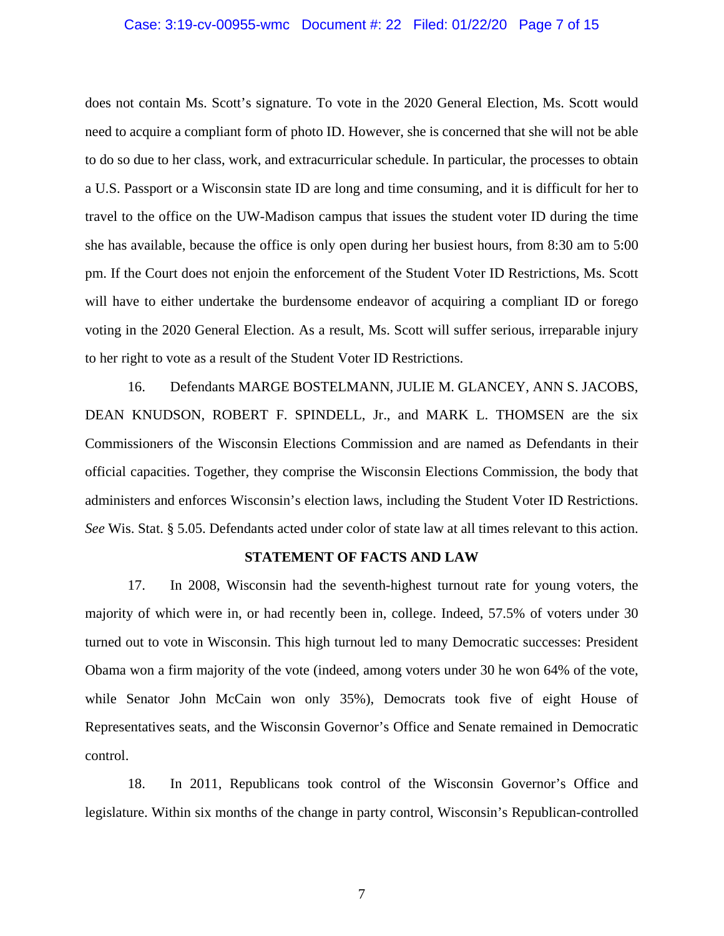## Case: 3:19-cv-00955-wmc Document #: 22 Filed: 01/22/20 Page 7 of 15

does not contain Ms. Scott's signature. To vote in the 2020 General Election, Ms. Scott would need to acquire a compliant form of photo ID. However, she is concerned that she will not be able to do so due to her class, work, and extracurricular schedule. In particular, the processes to obtain a U.S. Passport or a Wisconsin state ID are long and time consuming, and it is difficult for her to travel to the office on the UW-Madison campus that issues the student voter ID during the time she has available, because the office is only open during her busiest hours, from 8:30 am to 5:00 pm. If the Court does not enjoin the enforcement of the Student Voter ID Restrictions, Ms. Scott will have to either undertake the burdensome endeavor of acquiring a compliant ID or forego voting in the 2020 General Election. As a result, Ms. Scott will suffer serious, irreparable injury to her right to vote as a result of the Student Voter ID Restrictions.

16. Defendants MARGE BOSTELMANN, JULIE M. GLANCEY, ANN S. JACOBS, DEAN KNUDSON, ROBERT F. SPINDELL, Jr., and MARK L. THOMSEN are the six Commissioners of the Wisconsin Elections Commission and are named as Defendants in their official capacities. Together, they comprise the Wisconsin Elections Commission, the body that administers and enforces Wisconsin's election laws, including the Student Voter ID Restrictions. *See* Wis. Stat. § 5.05. Defendants acted under color of state law at all times relevant to this action.

#### **STATEMENT OF FACTS AND LAW**

17. In 2008, Wisconsin had the seventh-highest turnout rate for young voters, the majority of which were in, or had recently been in, college. Indeed, 57.5% of voters under 30 turned out to vote in Wisconsin. This high turnout led to many Democratic successes: President Obama won a firm majority of the vote (indeed, among voters under 30 he won 64% of the vote, while Senator John McCain won only 35%), Democrats took five of eight House of Representatives seats, and the Wisconsin Governor's Office and Senate remained in Democratic control.

18. In 2011, Republicans took control of the Wisconsin Governor's Office and legislature. Within six months of the change in party control, Wisconsin's Republican-controlled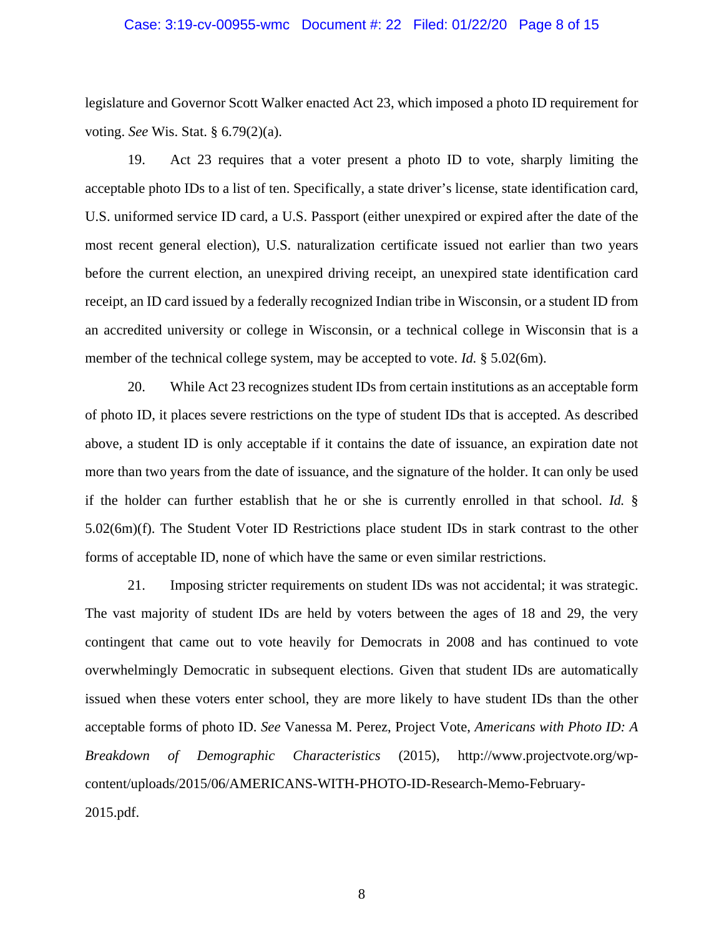#### Case: 3:19-cv-00955-wmc Document #: 22 Filed: 01/22/20 Page 8 of 15

legislature and Governor Scott Walker enacted Act 23, which imposed a photo ID requirement for voting. *See* Wis. Stat. § 6.79(2)(a).

19. Act 23 requires that a voter present a photo ID to vote, sharply limiting the acceptable photo IDs to a list of ten. Specifically, a state driver's license, state identification card, U.S. uniformed service ID card, a U.S. Passport (either unexpired or expired after the date of the most recent general election), U.S. naturalization certificate issued not earlier than two years before the current election, an unexpired driving receipt, an unexpired state identification card receipt, an ID card issued by a federally recognized Indian tribe in Wisconsin, or a student ID from an accredited university or college in Wisconsin, or a technical college in Wisconsin that is a member of the technical college system, may be accepted to vote. *Id.* § 5.02(6m).

20. While Act 23 recognizes student IDs from certain institutions as an acceptable form of photo ID, it places severe restrictions on the type of student IDs that is accepted. As described above, a student ID is only acceptable if it contains the date of issuance, an expiration date not more than two years from the date of issuance, and the signature of the holder. It can only be used if the holder can further establish that he or she is currently enrolled in that school. *Id.* § 5.02(6m)(f). The Student Voter ID Restrictions place student IDs in stark contrast to the other forms of acceptable ID, none of which have the same or even similar restrictions.

21. Imposing stricter requirements on student IDs was not accidental; it was strategic. The vast majority of student IDs are held by voters between the ages of 18 and 29, the very contingent that came out to vote heavily for Democrats in 2008 and has continued to vote overwhelmingly Democratic in subsequent elections. Given that student IDs are automatically issued when these voters enter school, they are more likely to have student IDs than the other acceptable forms of photo ID. *See* Vanessa M. Perez, Project Vote, *Americans with Photo ID: A Breakdown of Demographic Characteristics* (2015), http://www.projectvote.org/wpcontent/uploads/2015/06/AMERICANS-WITH-PHOTO-ID-Research-Memo-February-2015.pdf.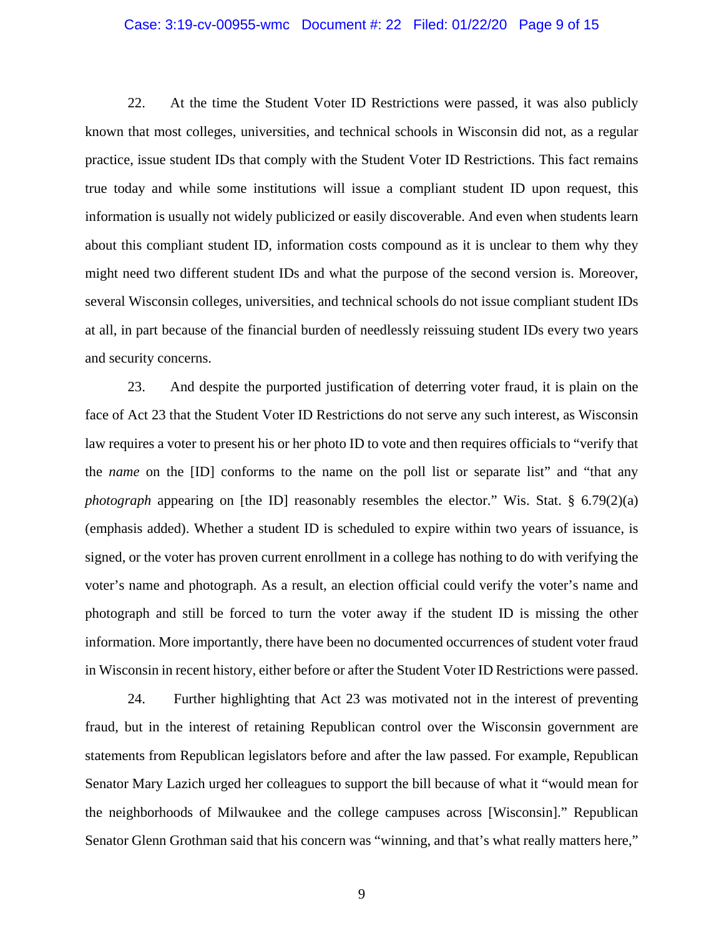## Case: 3:19-cv-00955-wmc Document #: 22 Filed: 01/22/20 Page 9 of 15

22. At the time the Student Voter ID Restrictions were passed, it was also publicly known that most colleges, universities, and technical schools in Wisconsin did not, as a regular practice, issue student IDs that comply with the Student Voter ID Restrictions. This fact remains true today and while some institutions will issue a compliant student ID upon request, this information is usually not widely publicized or easily discoverable. And even when students learn about this compliant student ID, information costs compound as it is unclear to them why they might need two different student IDs and what the purpose of the second version is. Moreover, several Wisconsin colleges, universities, and technical schools do not issue compliant student IDs at all, in part because of the financial burden of needlessly reissuing student IDs every two years and security concerns.

23. And despite the purported justification of deterring voter fraud, it is plain on the face of Act 23 that the Student Voter ID Restrictions do not serve any such interest, as Wisconsin law requires a voter to present his or her photo ID to vote and then requires officials to "verify that the *name* on the [ID] conforms to the name on the poll list or separate list" and "that any *photograph* appearing on [the ID] reasonably resembles the elector." Wis. Stat. § 6.79(2)(a) (emphasis added). Whether a student ID is scheduled to expire within two years of issuance, is signed, or the voter has proven current enrollment in a college has nothing to do with verifying the voter's name and photograph. As a result, an election official could verify the voter's name and photograph and still be forced to turn the voter away if the student ID is missing the other information. More importantly, there have been no documented occurrences of student voter fraud in Wisconsin in recent history, either before or after the Student Voter ID Restrictions were passed.

24. Further highlighting that Act 23 was motivated not in the interest of preventing fraud, but in the interest of retaining Republican control over the Wisconsin government are statements from Republican legislators before and after the law passed. For example, Republican Senator Mary Lazich urged her colleagues to support the bill because of what it "would mean for the neighborhoods of Milwaukee and the college campuses across [Wisconsin]." Republican Senator Glenn Grothman said that his concern was "winning, and that's what really matters here,"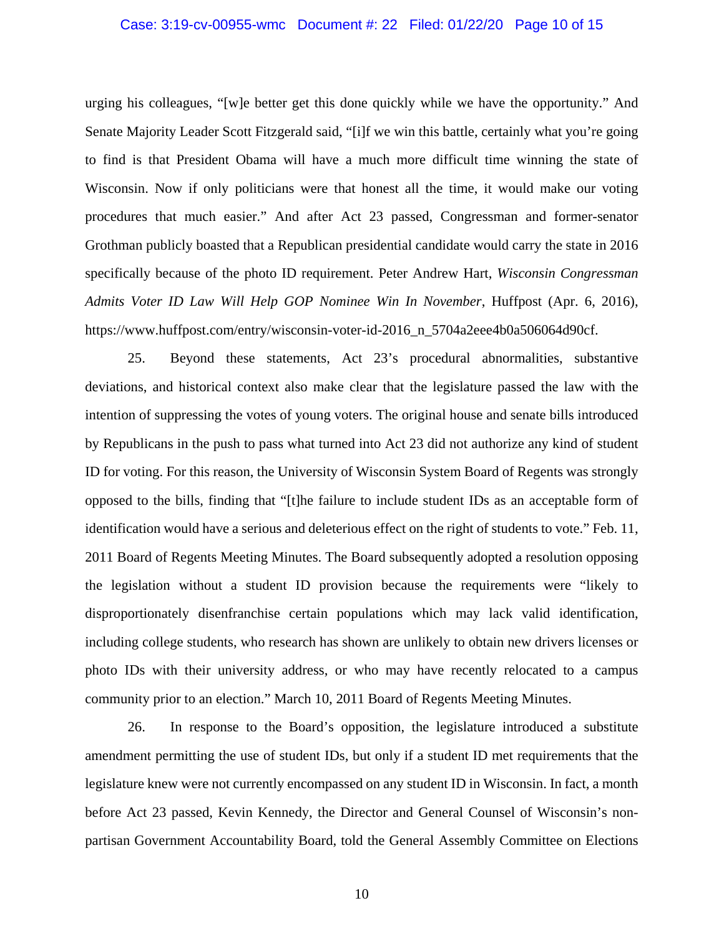## Case: 3:19-cv-00955-wmc Document #: 22 Filed: 01/22/20 Page 10 of 15

urging his colleagues, "[w]e better get this done quickly while we have the opportunity." And Senate Majority Leader Scott Fitzgerald said, "[i]f we win this battle, certainly what you're going to find is that President Obama will have a much more difficult time winning the state of Wisconsin. Now if only politicians were that honest all the time, it would make our voting procedures that much easier." And after Act 23 passed, Congressman and former-senator Grothman publicly boasted that a Republican presidential candidate would carry the state in 2016 specifically because of the photo ID requirement. Peter Andrew Hart, *Wisconsin Congressman Admits Voter ID Law Will Help GOP Nominee Win In November*, Huffpost (Apr. 6, 2016), https://www.huffpost.com/entry/wisconsin-voter-id-2016\_n\_5704a2eee4b0a506064d90cf.

25. Beyond these statements, Act 23's procedural abnormalities, substantive deviations, and historical context also make clear that the legislature passed the law with the intention of suppressing the votes of young voters. The original house and senate bills introduced by Republicans in the push to pass what turned into Act 23 did not authorize any kind of student ID for voting. For this reason, the University of Wisconsin System Board of Regents was strongly opposed to the bills, finding that "[t]he failure to include student IDs as an acceptable form of identification would have a serious and deleterious effect on the right of students to vote." Feb. 11, 2011 Board of Regents Meeting Minutes. The Board subsequently adopted a resolution opposing the legislation without a student ID provision because the requirements were "likely to disproportionately disenfranchise certain populations which may lack valid identification, including college students, who research has shown are unlikely to obtain new drivers licenses or photo IDs with their university address, or who may have recently relocated to a campus community prior to an election." March 10, 2011 Board of Regents Meeting Minutes.

26. In response to the Board's opposition, the legislature introduced a substitute amendment permitting the use of student IDs, but only if a student ID met requirements that the legislature knew were not currently encompassed on any student ID in Wisconsin. In fact, a month before Act 23 passed, Kevin Kennedy, the Director and General Counsel of Wisconsin's nonpartisan Government Accountability Board, told the General Assembly Committee on Elections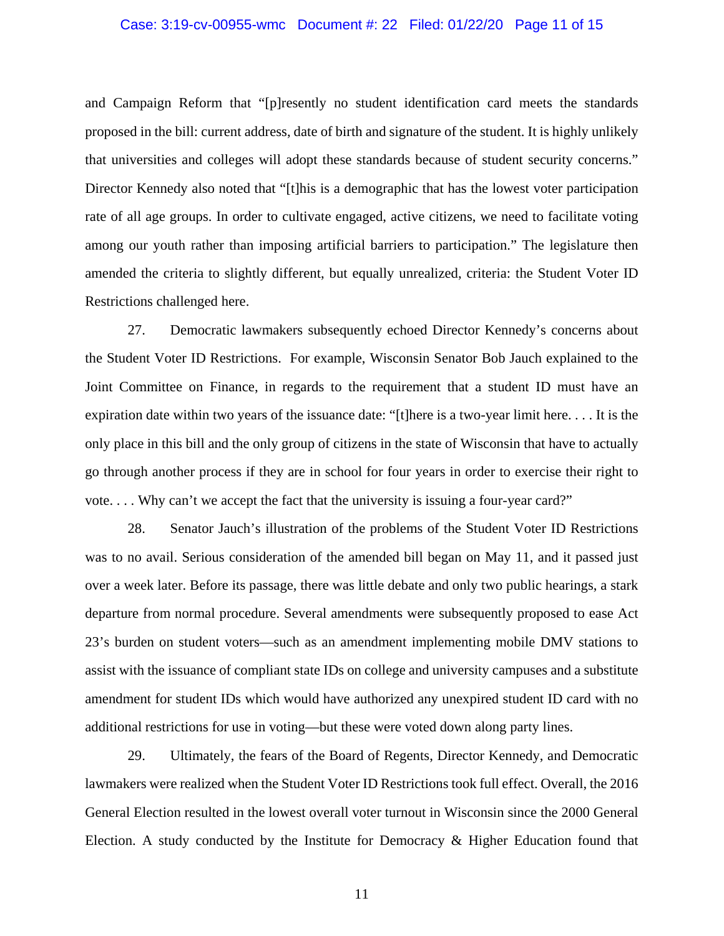#### Case: 3:19-cv-00955-wmc Document #: 22 Filed: 01/22/20 Page 11 of 15

and Campaign Reform that "[p]resently no student identification card meets the standards proposed in the bill: current address, date of birth and signature of the student. It is highly unlikely that universities and colleges will adopt these standards because of student security concerns." Director Kennedy also noted that "[t]his is a demographic that has the lowest voter participation rate of all age groups. In order to cultivate engaged, active citizens, we need to facilitate voting among our youth rather than imposing artificial barriers to participation." The legislature then amended the criteria to slightly different, but equally unrealized, criteria: the Student Voter ID Restrictions challenged here.

27. Democratic lawmakers subsequently echoed Director Kennedy's concerns about the Student Voter ID Restrictions. For example, Wisconsin Senator Bob Jauch explained to the Joint Committee on Finance, in regards to the requirement that a student ID must have an expiration date within two years of the issuance date: "[t]here is a two-year limit here. . . . It is the only place in this bill and the only group of citizens in the state of Wisconsin that have to actually go through another process if they are in school for four years in order to exercise their right to vote. . . . Why can't we accept the fact that the university is issuing a four-year card?"

28. Senator Jauch's illustration of the problems of the Student Voter ID Restrictions was to no avail. Serious consideration of the amended bill began on May 11, and it passed just over a week later. Before its passage, there was little debate and only two public hearings, a stark departure from normal procedure. Several amendments were subsequently proposed to ease Act 23's burden on student voters—such as an amendment implementing mobile DMV stations to assist with the issuance of compliant state IDs on college and university campuses and a substitute amendment for student IDs which would have authorized any unexpired student ID card with no additional restrictions for use in voting—but these were voted down along party lines.

29. Ultimately, the fears of the Board of Regents, Director Kennedy, and Democratic lawmakers were realized when the Student Voter ID Restrictions took full effect. Overall, the 2016 General Election resulted in the lowest overall voter turnout in Wisconsin since the 2000 General Election. A study conducted by the Institute for Democracy & Higher Education found that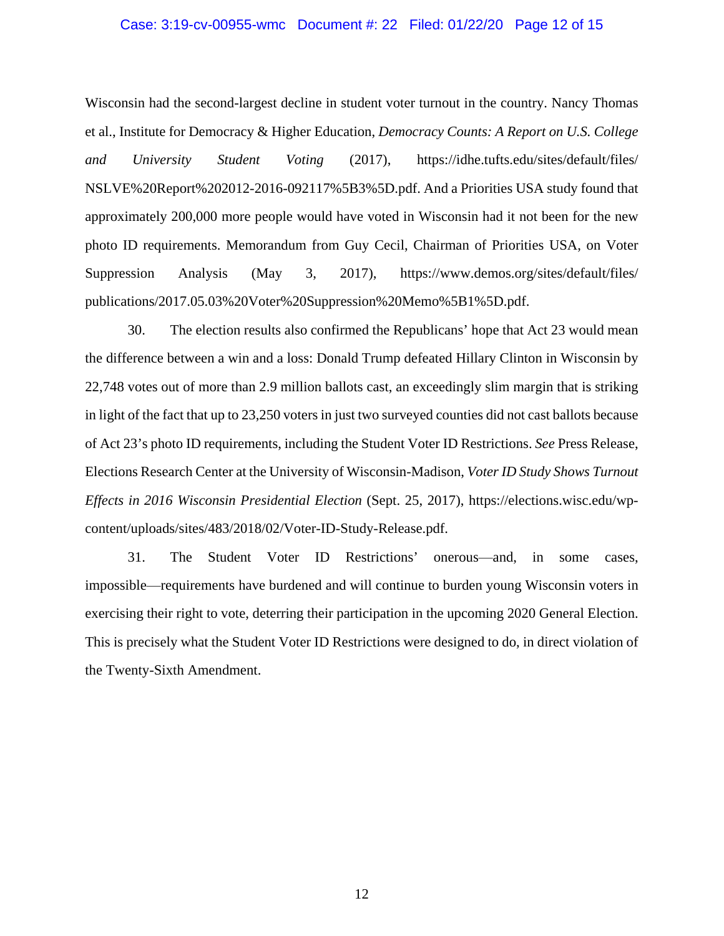#### Case: 3:19-cv-00955-wmc Document #: 22 Filed: 01/22/20 Page 12 of 15

Wisconsin had the second-largest decline in student voter turnout in the country. Nancy Thomas et al., Institute for Democracy & Higher Education, *Democracy Counts: A Report on U.S. College and University Student Voting* (2017), https://idhe.tufts.edu/sites/default/files/ NSLVE%20Report%202012-2016-092117%5B3%5D.pdf. And a Priorities USA study found that approximately 200,000 more people would have voted in Wisconsin had it not been for the new photo ID requirements. Memorandum from Guy Cecil, Chairman of Priorities USA, on Voter Suppression Analysis (May 3, 2017), https://www.demos.org/sites/default/files/ publications/2017.05.03%20Voter%20Suppression%20Memo%5B1%5D.pdf.

30. The election results also confirmed the Republicans' hope that Act 23 would mean the difference between a win and a loss: Donald Trump defeated Hillary Clinton in Wisconsin by 22,748 votes out of more than 2.9 million ballots cast, an exceedingly slim margin that is striking in light of the fact that up to 23,250 voters in just two surveyed counties did not cast ballots because of Act 23's photo ID requirements, including the Student Voter ID Restrictions. *See* Press Release, Elections Research Center at the University of Wisconsin-Madison, *Voter ID Study Shows Turnout Effects in 2016 Wisconsin Presidential Election* (Sept. 25, 2017), https://elections.wisc.edu/wpcontent/uploads/sites/483/2018/02/Voter-ID-Study-Release.pdf.

31. The Student Voter ID Restrictions' onerous⸺and, in some cases, impossible⸺requirements have burdened and will continue to burden young Wisconsin voters in exercising their right to vote, deterring their participation in the upcoming 2020 General Election. This is precisely what the Student Voter ID Restrictions were designed to do, in direct violation of the Twenty-Sixth Amendment.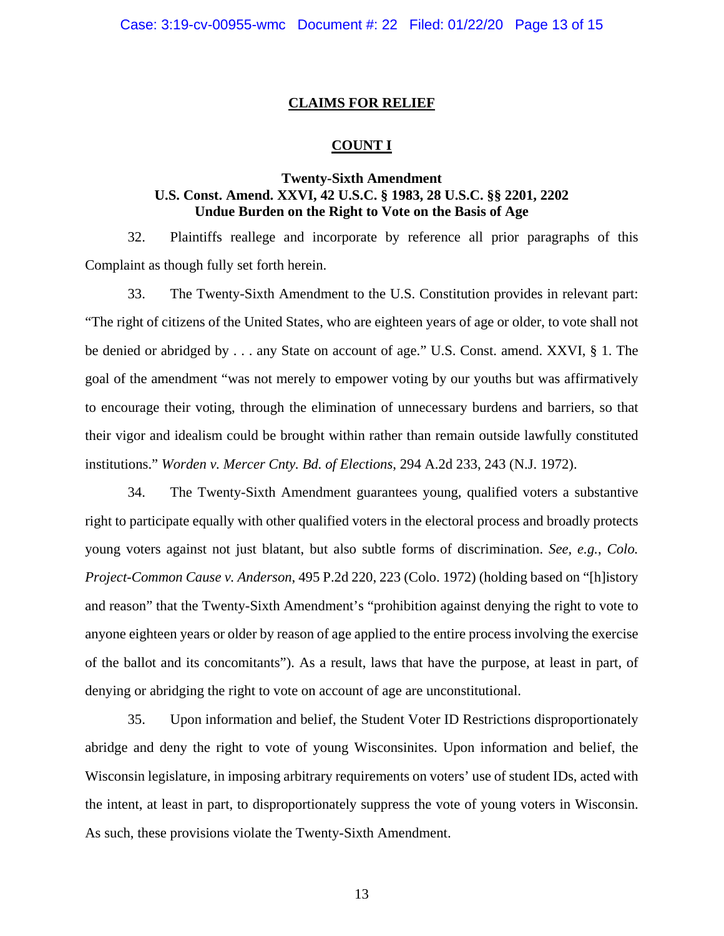# **CLAIMS FOR RELIEF**

## **COUNT I**

# **Twenty-Sixth Amendment U.S. Const. Amend. XXVI, 42 U.S.C. § 1983, 28 U.S.C. §§ 2201, 2202 Undue Burden on the Right to Vote on the Basis of Age**

32. Plaintiffs reallege and incorporate by reference all prior paragraphs of this Complaint as though fully set forth herein.

33. The Twenty-Sixth Amendment to the U.S. Constitution provides in relevant part: "The right of citizens of the United States, who are eighteen years of age or older, to vote shall not be denied or abridged by . . . any State on account of age." U.S. Const. amend. XXVI, § 1. The goal of the amendment "was not merely to empower voting by our youths but was affirmatively to encourage their voting, through the elimination of unnecessary burdens and barriers, so that their vigor and idealism could be brought within rather than remain outside lawfully constituted institutions." *Worden v. Mercer Cnty. Bd. of Elections*, 294 A.2d 233, 243 (N.J. 1972).

34. The Twenty-Sixth Amendment guarantees young, qualified voters a substantive right to participate equally with other qualified voters in the electoral process and broadly protects young voters against not just blatant, but also subtle forms of discrimination. *See, e.g.*, *Colo. Project-Common Cause v. Anderson*, 495 P.2d 220, 223 (Colo. 1972) (holding based on "[h]istory and reason" that the Twenty-Sixth Amendment's "prohibition against denying the right to vote to anyone eighteen years or older by reason of age applied to the entire process involving the exercise of the ballot and its concomitants"). As a result, laws that have the purpose, at least in part, of denying or abridging the right to vote on account of age are unconstitutional.

35. Upon information and belief, the Student Voter ID Restrictions disproportionately abridge and deny the right to vote of young Wisconsinites. Upon information and belief, the Wisconsin legislature, in imposing arbitrary requirements on voters' use of student IDs, acted with the intent, at least in part, to disproportionately suppress the vote of young voters in Wisconsin. As such, these provisions violate the Twenty-Sixth Amendment.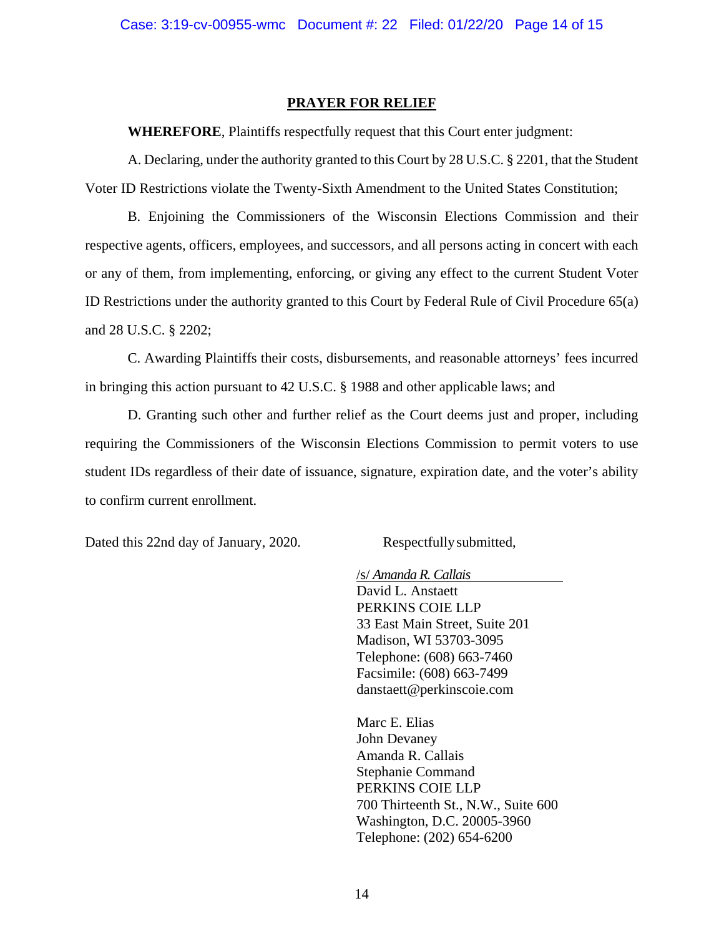# **PRAYER FOR RELIEF**

**WHEREFORE**, Plaintiffs respectfully request that this Court enter judgment:

A. Declaring, under the authority granted to this Court by 28 U.S.C. § 2201, that the Student Voter ID Restrictions violate the Twenty-Sixth Amendment to the United States Constitution;

B. Enjoining the Commissioners of the Wisconsin Elections Commission and their respective agents, officers, employees, and successors, and all persons acting in concert with each or any of them, from implementing, enforcing, or giving any effect to the current Student Voter ID Restrictions under the authority granted to this Court by Federal Rule of Civil Procedure 65(a) and 28 U.S.C. § 2202;

C. Awarding Plaintiffs their costs, disbursements, and reasonable attorneys' fees incurred in bringing this action pursuant to 42 U.S.C. § 1988 and other applicable laws; and

D. Granting such other and further relief as the Court deems just and proper, including requiring the Commissioners of the Wisconsin Elections Commission to permit voters to use student IDs regardless of their date of issuance, signature, expiration date, and the voter's ability to confirm current enrollment.

Dated this 22nd day of January, 2020. Respectfully submitted,

/s/ *Amanda R. Callais* David L. Anstaett PERKINS COIE LLP 33 East Main Street, Suite 201 Madison, WI 53703-3095 Telephone: (608) 663-7460 Facsimile: (608) 663-7499 danstaett@perkinscoie.com

Marc E. Elias John Devaney Amanda R. Callais Stephanie Command PERKINS COIE LLP 700 Thirteenth St., N.W., Suite 600 Washington, D.C. 20005-3960 Telephone: (202) 654-6200